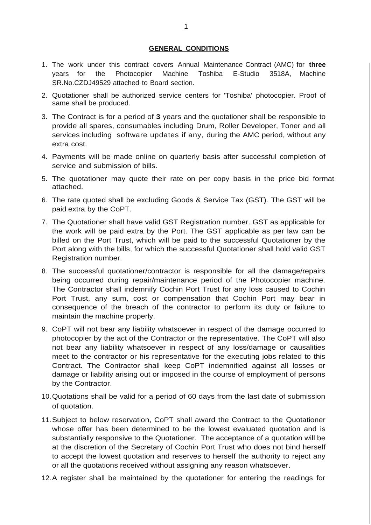## **GENERAL CONDITIONS**

- 1. The work under this contract covers Annual Maintenance Contract (AMC) for **three** years for the Photocopier Machine Toshiba E-Studio 3518A, Machine SR.No.CZDJ49529 attached to Board section.
- 2. Quotationer shall be authorized service centers for 'Toshiba' photocopier. Proof of same shall be produced.
- 3. The Contract is for a period of **3** years and the quotationer shall be responsible to provide all spares, consumables including Drum, Roller Developer, Toner and all services including software updates if any, during the AMC period, without any extra cost.
- 4. Payments will be made online on quarterly basis after successful completion of service and submission of bills.
- 5. The quotationer may quote their rate on per copy basis in the price bid format attached.
- 6. The rate quoted shall be excluding Goods & Service Tax (GST). The GST will be paid extra by the CoPT.
- 7. The Quotationer shall have valid GST Registration number. GST as applicable for the work will be paid extra by the Port. The GST applicable as per law can be billed on the Port Trust, which will be paid to the successful Quotationer by the Port along with the bills, for which the successful Quotationer shall hold valid GST Registration number.
- 8. The successful quotationer/contractor is responsible for all the damage/repairs being occurred during repair/maintenance period of the Photocopier machine. The Contractor shall indemnify Cochin Port Trust for any loss caused to Cochin Port Trust, any sum, cost or compensation that Cochin Port may bear in consequence of the breach of the contractor to perform its duty or failure to maintain the machine properly.
- 9. CoPT will not bear any liability whatsoever in respect of the damage occurred to photocopier by the act of the Contractor or the representative. The CoPT will also not bear any liability whatsoever in respect of any loss/damage or causalities meet to the contractor or his representative for the executing jobs related to this Contract. The Contractor shall keep CoPT indemnified against all losses or damage or liability arising out or imposed in the course of employment of persons by the Contractor.
- 10.Quotations shall be valid for a period of 60 days from the last date of submission of quotation.
- 11.Subject to below reservation, CoPT shall award the Contract to the Quotationer whose offer has been determined to be the lowest evaluated quotation and is substantially responsive to the Quotationer. The acceptance of a quotation will be at the discretion of the Secretary of Cochin Port Trust who does not bind herself to accept the lowest quotation and reserves to herself the authority to reject any or all the quotations received without assigning any reason whatsoever.
- 12.A register shall be maintained by the quotationer for entering the readings for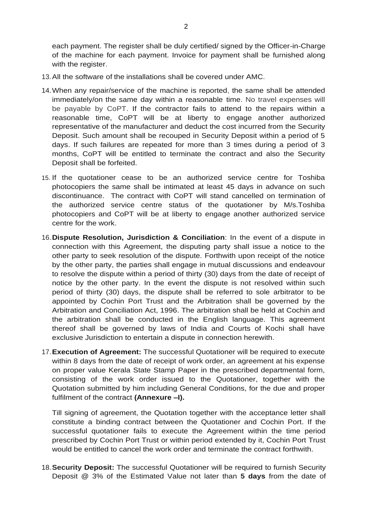each payment. The register shall be duly certified/ signed by the Officer-in-Charge of the machine for each payment. Invoice for payment shall be furnished along with the register.

- 13.All the software of the installations shall be covered under AMC.
- 14.When any repair/service of the machine is reported, the same shall be attended immediately/on the same day within a reasonable time. No travel expenses will be payable by CoPT. If the contractor fails to attend to the repairs within a reasonable time, CoPT will be at liberty to engage another authorized representative of the manufacturer and deduct the cost incurred from the Security Deposit. Such amount shall be recouped in Security Deposit within a period of 5 days. If such failures are repeated for more than 3 times during a period of 3 months, CoPT will be entitled to terminate the contract and also the Security Deposit shall be forfeited.
- 15. If the quotationer cease to be an authorized service centre for Toshiba photocopiers the same shall be intimated at least 45 days in advance on such discontinuance. The contract with CoPT will stand cancelled on termination of the authorized service centre status of the quotationer by M/s.Toshiba photocopiers and CoPT will be at liberty to engage another authorized service centre for the work.
- 16.**Dispute Resolution, Jurisdiction & Conciliation**: In the event of a dispute in connection with this Agreement, the disputing party shall issue a notice to the other party to seek resolution of the dispute. Forthwith upon receipt of the notice by the other party, the parties shall engage in mutual discussions and endeavour to resolve the dispute within a period of thirty (30) days from the date of receipt of notice by the other party. In the event the dispute is not resolved within such period of thirty (30) days, the dispute shall be referred to sole arbitrator to be appointed by Cochin Port Trust and the Arbitration shall be governed by the Arbitration and Conciliation Act, 1996. The arbitration shall be held at Cochin and the arbitration shall be conducted in the English language. This agreement thereof shall be governed by laws of India and Courts of Kochi shall have exclusive Jurisdiction to entertain a dispute in connection herewith.
- 17.**Execution of Agreement:** The successful Quotationer will be required to execute within 8 days from the date of receipt of work order, an agreement at his expense on proper value Kerala State Stamp Paper in the prescribed departmental form, consisting of the work order issued to the Quotationer, together with the Quotation submitted by him including General Conditions, for the due and proper fulfilment of the contract **(Annexure –I).**

Till signing of agreement, the Quotation together with the acceptance letter shall constitute a binding contract between the Quotationer and Cochin Port. If the successful quotationer fails to execute the Agreement within the time period prescribed by Cochin Port Trust or within period extended by it, Cochin Port Trust would be entitled to cancel the work order and terminate the contract forthwith.

18.**Security Deposit:** The successful Quotationer will be required to furnish Security Deposit @ 3% of the Estimated Value not later than **5 days** from the date of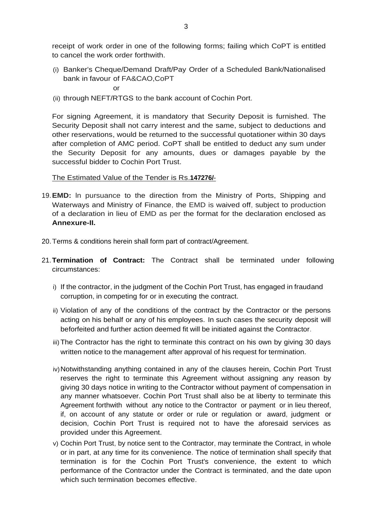receipt of work order in one of the following forms; failing which CoPT is entitled to cancel the work order forthwith.

(i) Banker's Cheque/Demand Draft/Pay Order of a Scheduled Bank/Nationalised bank in favour of FA&CAO,CoPT

or

(ii) through NEFT/RTGS to the bank account of Cochin Port.

For signing Agreement, it is mandatory that Security Deposit is furnished. The Security Deposit shall not carry interest and the same, subject to deductions and other reservations, would be returned to the successful quotationer within 30 days after completion of AMC period. CoPT shall be entitled to deduct any sum under the Security Deposit for any amounts, dues or damages payable by the successful bidder to Cochin Port Trust.

The Estimated Value of the Tender is Rs.**147276/**-

- 19.**EMD:** ln pursuance to the direction from the Ministry of Ports, Shipping and Waterways and Ministry of Finance, the EMD is waived off, subject to production of a declaration in lieu of EMD as per the format for the declaration enclosed as **Annexure-II.**
- 20.Terms & conditions herein shall form part of contract/Agreement.
- 21.**Termination of Contract:** The Contract shall be terminated under following circumstances:
	- i) If the contractor, in the judgment of the Cochin Port Trust, has engaged in fraudand corruption, in competing for or in executing the contract.
	- ii) Violation of any of the conditions of the contract by the Contractor or the persons acting on his behalf or any of his employees. In such cases the security deposit will beforfeited and further action deemed fit will be initiated against the Contractor.
	- iii) The Contractor has the right to terminate this contract on his own by giving 30 days written notice to the management after approval of his request for termination.
	- iv)Notwithstanding anything contained in any of the clauses herein, Cochin Port Trust reserves the right to terminate this Agreement without assigning any reason by giving 30 days notice in writing to the Contractor without payment of compensation in any manner whatsoever. Cochin Port Trust shall also be at liberty to terminate this Agreement forthwith without any notice to the Contractor or payment or in lieu thereof, if, on account of any statute or order or rule or regulation or award, judgment or decision, Cochin Port Trust is required not to have the aforesaid services as provided under this Agreement.
	- v) Cochin Port Trust, by notice sent to the Contractor, may terminate the Contract, in whole or in part, at any time for its convenience. The notice of termination shall specify that termination is for the Cochin Port Trust's convenience, the extent to which performance of the Contractor under the Contract is terminated, and the date upon which such termination becomes effective.